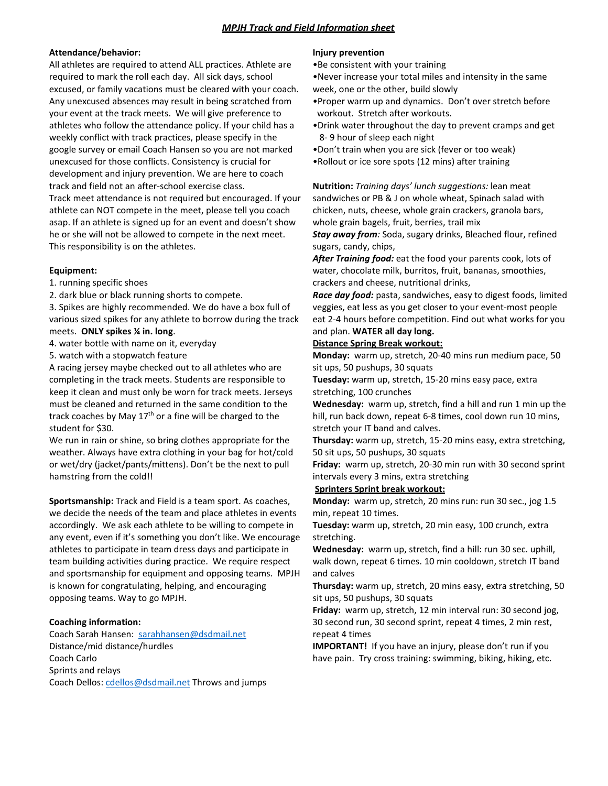# *MPJH Track and Field Information sheet*

#### **Attendance/behavior:**

All athletes are required to attend ALL practices. Athlete are required to mark the roll each day. All sick days, school excused, or family vacations must be cleared with your coach. Any unexcused absences may result in being scratched from your event at the track meets. We will give preference to athletes who follow the attendance policy. If your child has a weekly conflict with track practices, please specify in the google survey or email Coach Hansen so you are not marked unexcused for those conflicts. Consistency is crucial for development and injury prevention. We are here to coach track and field not an after-school exercise class. Track meet attendance is not required but encouraged. If your athlete can NOT compete in the meet, please tell you coach asap. If an athlete is signed up for an event and doesn't show he or she will not be allowed to compete in the next meet. This responsibility is on the athletes.

## **Equipment:**

1. running specific shoes

2. dark blue or black running shorts to compete.

3. Spikes are highly recommended. We do have a box full of various sized spikes for any athlete to borrow during the track meets. **ONLY spikes ¼ in. long**.

4. water bottle with name on it, everyday

5. watch with a stopwatch feature

A racing jersey maybe checked out to all athletes who are completing in the track meets. Students are responsible to keep it clean and must only be worn for track meets. Jerseys must be cleaned and returned in the same condition to the track coaches by May  $17<sup>th</sup>$  or a fine will be charged to the student for \$30.

We run in rain or shine, so bring clothes appropriate for the weather. Always have extra clothing in your bag for hot/cold or wet/dry (jacket/pants/mittens). Don't be the next to pull hamstring from the cold!!

**Sportsmanship:** Track and Field is a team sport. As coaches, we decide the needs of the team and place athletes in events accordingly. We ask each athlete to be willing to compete in any event, even if it's something you don't like. We encourage athletes to participate in team dress days and participate in team building activities during practice. We require respect and sportsmanship for equipment and opposing teams. MPJH is known for congratulating, helping, and encouraging opposing teams. Way to go MPJH.

## **Coaching information:**

Coach Sarah Hansen: [sarahhansen@dsdmail.net](mailto:sarahhansen@dsdmail.net) Distance/mid distance/hurdles Coach Carlo Sprints and relays Coach Dellos[: cdellos@dsdmail.net](mailto:cdellos@dsdmail.net) Throws and jumps

#### **Injury prevention**

•Be consistent with your training

•Never increase your total miles and intensity in the same week, one or the other, build slowly

- •Proper warm up and dynamics. Don't over stretch before workout. Stretch after workouts.
- •Drink water throughout the day to prevent cramps and get 8- 9 hour of sleep each night
- •Don't train when you are sick (fever or too weak)
- •Rollout or ice sore spots (12 mins) after training

**Nutrition:** *Training days' lunch suggestions:* lean meat sandwiches or PB & J on whole wheat, Spinach salad with chicken, nuts, cheese, whole grain crackers, granola bars, whole grain bagels, fruit, berries, trail mix

*Stay away from:* Soda, sugary drinks, Bleached flour, refined sugars, candy, chips,

*After Training food:* eat the food your parents cook, lots of water, chocolate milk, burritos, fruit, bananas, smoothies, crackers and cheese, nutritional drinks,

*Race day food:* pasta, sandwiches, easy to digest foods, limited veggies, eat less as you get closer to your event-most people eat 2-4 hours before competition. Find out what works for you and plan. **WATER all day long.**

#### **Distance Spring Break workout:**

**Monday:** warm up, stretch, 20-40 mins run medium pace, 50 sit ups, 50 pushups, 30 squats

**Tuesday:** warm up, stretch, 15-20 mins easy pace, extra stretching, 100 crunches

**Wednesday:** warm up, stretch, find a hill and run 1 min up the hill, run back down, repeat 6-8 times, cool down run 10 mins, stretch your IT band and calves.

**Thursday:** warm up, stretch, 15-20 mins easy, extra stretching, 50 sit ups, 50 pushups, 30 squats

**Friday:** warm up, stretch, 20-30 min run with 30 second sprint intervals every 3 mins, extra stretching

#### **Sprinters Sprint break workout:**

**Monday:** warm up, stretch, 20 mins run: run 30 sec., jog 1.5 min, repeat 10 times.

**Tuesday:** warm up, stretch, 20 min easy, 100 crunch, extra stretching.

**Wednesday:** warm up, stretch, find a hill: run 30 sec. uphill, walk down, repeat 6 times. 10 min cooldown, stretch IT band and calves

**Thursday:** warm up, stretch, 20 mins easy, extra stretching, 50 sit ups, 50 pushups, 30 squats

**Friday:** warm up, stretch, 12 min interval run: 30 second jog, 30 second run, 30 second sprint, repeat 4 times, 2 min rest, repeat 4 times

**IMPORTANT!** If you have an injury, please don't run if you have pain. Try cross training: swimming, biking, hiking, etc.